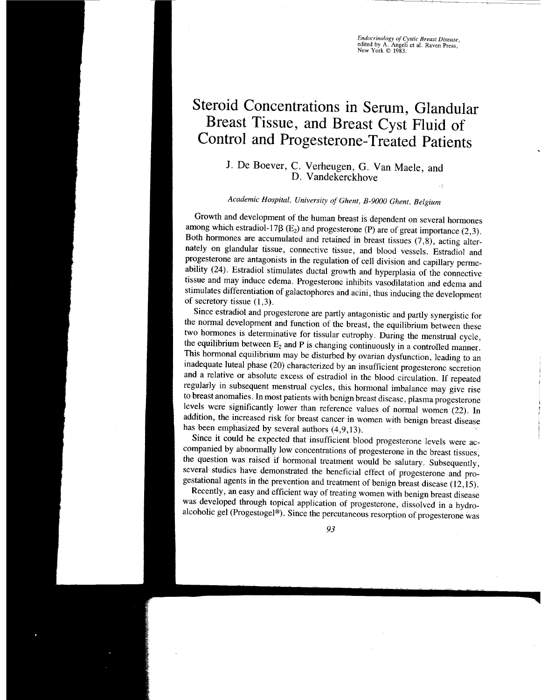*Endocrinology of Cystic Breast Disease*,<br>edited by A. Angeli et al. Raven Press,<br>New York © 1983.

# Steroid Concentrations in Serum, Glandular Breast Tissue, and Breast Cyst Fluid of Control and Progesterone-Treated patients

# J. De Boever, C. Verheugen, G. Van Maele, and D. Vandekerckhove

# Academic Hospital, University of Ghent, 8\_9000 Ghent, Belgium

Growth and development of the human breast is dependent on several hormones among which estradiol-17 $\beta$  (E<sub>2</sub>) and progesterone (P) are of great importance (2,3). Both hormones are accumulated and retained in breast tissues  $(7,8)$ , acting alternately on glandular tissue, connective tissue, and blood vessels. Estradiol and progesterone are antagonists in the regulation of cell division and capillary perme\_ ability (24). Estradiol stimulates ductal growth and hyperplasia of the connective tissue and may induce edema. Progesterone inhibits vasodilatation and edema and stimulates differentiation of galactophores and acini, thus inducing the development of secretory tissue (1,3).

the normal development and function of the breast, the equilibrium between these Since estradiol and progesterone are partly antagonistic and partly synergistic for two hormones is determinative for tissular eutrophy. During the menstrual cycle, the equilibrium between  $E_2$  and P is changing continuously in a controlled manner. This hormonal equilibrium may be disturbed by ovarian dysfunction, leading to an inadequate luteal phase (20) characterized by an insufficient progesterone secretion and a relative or absolute excess of estradiol in the blood circulation. If repeated regularly in subsequent menstrual cycles, this hormonal imbalance may give rise to breast anomalies. In most patients with benign breast disease, plasma progesterone levels were significantly lower than reference values of normal women (22). In addition, the increased risk for breast cancer in women with benign breast disease has been emphasized by several authors (4,9,13).

Since it could be expected that insufficient blood progesterone levels were accompanied by abnormally low concentrations of progesterone in the breast tissues, the question was raised if hormonal treatment would be salutary. Subsequently, several studies have demonstrated the beneficial effect of progesterone and progestational agents in the prevention and treatment of benign breast disease  $(12,15)$ .

Recently, an easy and efficient way of treating women with benign breast disease was developed through topical application of progesterone, dissolved in a hydroalcoholic gel (Progestogel®). Since the percutaneous resorption of progesterone was

93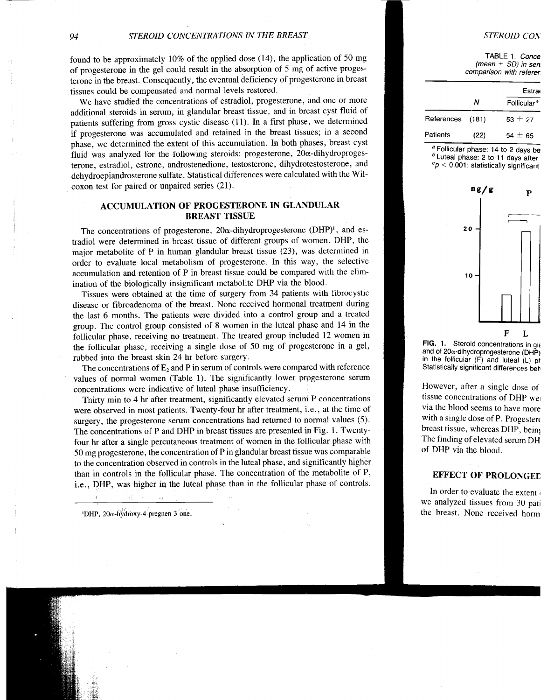found to be approximately  $10\%$  of the applied dose (14), the application of 50 mg of progesterone in the gel could result in the absorption of 5 mg of active progesterone in the breast. Consequently, the eventual deficiency of progesterone in breast tissues could be compensated and normal levels restored.

We have studied the concentrations of estradiol, progesterone, and one or more additional steroids in serum, in glandular breast tissue, and in breast cyst fluid of patients suffering from gross cystic disease (11). In a first phase, we determined if progesterone was accumulated and retained in the breast tissues; in a second phase, we determined the extent of this accumulation. In both phases, breast cyst fluid was analyzed for the following steroids: progesterone,  $20\alpha$ -dihydroprogesterone, estradiol, estrone, androstenedione, testosterone, dihydrotestosterone, and dehydroepiandrosterone sulfate. Statistical differences were calculated with the Wilcoxon test for paired or unpaired series (21).

## ACCUMULATION OF PROGESTERONE IN GLANDULAR BREAST TISSUE

The concentrations of progesterone,  $20\alpha$ -dihydroprogesterone (DHP)<sup>1</sup>, and estradiol were determined in breast tissue of different groups of women. DHP, the major metabolite of P in human glandular breast tissue (23), was determined in order to evaluate local metabolism of progesterone. In this way, the selective accumulation and retention of P in breast tissue could be compared with the elimination of the biologically insignificant metabolite DHP via the blood.

Tissues were obtained at the time of surgery from 34 patients with fibrocystic disease or fibroadenoma of the breast. None received hormonal treatment during the last 6 months. The patients were divided into a control group and a treated group. The control group consisted of 8 women in the luteal phase and 14 in the follicular phase, receiving no treatment. The treated group included 12 women in the follicular phase, receiving a single dose of 50 mg of progesterone in a gel, rubbed into the breast skin 24 hr before surgery.

The concentrations of  $E_2$  and P in serum of controls were compared with reference values of normal women (Table l). The significantly lower progesterone serum concentrations were indicative of luteal phase insufficiency.

Thirty min to 4 hr after treatment, significantly elevated serum P concentrations were observed in most patients. Twenty-four hr after treatment, i.e., at the time of surgery, the progesterone serum concentrations had returned to normal values (5). The concentrations of P and DHP in breast tissues are presented in Fig. l. Twenfyfour hr after a single percutaneous treatment of women in the follicular phase with 50 mg progesterone, the concentration of P in glandular breast tissue was comparable to the concentration observed in controls in the luteal phase, and significantly higher than in controls in the follicular phase. The concentration of the metabolite of P, i.e., DHP, was higher in the luteal phase than in the follicular phase of controls.

 $1$ DHP, 20 $\alpha$ -hydroxy-4-pregnen-3-one.

#### STEROID CON

TABLE 1. Conce (mean  $\pm$  SD) in sen comparison with referer

|                  |      | Estra                   |
|------------------|------|-------------------------|
|                  | Ν    | Follicular <sup>a</sup> |
| References (181) |      | $53 + 27$               |
| Patients         | (22) | $54 \pm 65$             |

 $a<sup>a</sup>$  Follicular phase: 14 to 2 days be  $b$  Luteal phase: 2 to 11 days after  $c_p < 0.001$ : statistically significant



FIG. 1. Steroid concentrations in gla and of 20 $\alpha$ -dihydroprogesterone (DHP) in the follicular  $(F)$  and luteal  $(L)$  pt Statistically significant differences bet

However, after a single dose oi tissue concentrations of DHP we via the blood seems to have more with a single dose of P. Progestero breast tissue, whereas DHP, being The finding of elevated serum DH of DHP via the blood.

### EFFECT OF PROLONGEI

In order to evaluate the extent , we analyzed tissues from 30 pari the breast. None received homr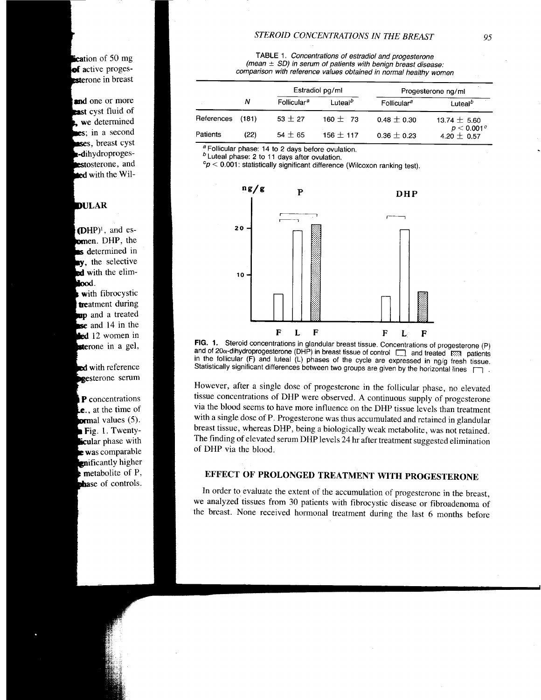$\epsilon$  cation of 50 mg of active progessterone in breast

and one or more **cast** cyst fluid of we determined es; in a second ses, breast cyst dihydroproges**estosterone**, and  $\equiv$  with the Wil-

# **DULAR**

 $(DHP)^{\dagger}$ , and es**comen.** DHP, the s determined in **y**, the selective ed with the elimlood.

with fibrocystic treatment during up and a treated se and 14 in the led 12 women in **sterone** in a gel,

**ed** with reference pgesterone serum

P concentrations  $i.e.,$  at the time of **ormal** values (5).  $Fig. 1. Twenty$ **licular** phase with **e** was comparable nificantly higher metabolite of P, phase of controls.

TABLE 1. Concentrations of estradiol and progesterone (mean  $\pm$  SD) in serum of patients with benign breast disease: comparison with reference values obtained in normal healthy women

|                 |       | Estradiol pg/ml         |                     | Progesterone ng/ml      |                                  |
|-----------------|-------|-------------------------|---------------------|-------------------------|----------------------------------|
|                 | Ν     | Follicular <sup>a</sup> | Luteal <sup>b</sup> | Follicular <sup>a</sup> | Luteal <sup>b</sup>              |
| References      | (181) | $53 + 27$               | 160 $\pm$ 73        | $0.48 \pm 0.30$         | 13.74 $\pm$ 5.60                 |
| <b>Patients</b> | (22)  | $54 + 65$               | 156 $\pm$ 117       | $0.36 \pm 0.23$         | $p < 0.001^c$<br>4.20 $\pm$ 0.57 |

<sup>a</sup> Follicular phase: 14 to 2 days before ovulation.<br> *b* Luteal phase: 2 to 11 days after ovulation.

 $c_p < 0.001$ : statistically significant difference (Wilcoxon ranking test).



FIG. 1. Steroid concentrations in glandular breast tissue. Concentrations of progesterone (P)<br>and.of 20<sub>0</sub>-dihydroprogesterone (DHP) in breast tissue of control [11] and treated [333] patients FIG. 1. Steroid concentrations in glandular breast tissue. Concentrations of progesterone (P) in the follicular (F) and luteal (L) phases of the cycle are expressed in ng/g fresh tissue.<br>Statistically significant differences between two groups are given by the horizontal lines

However, after a single dose of progesterone in the follicular phase, no elevated tissue concentrations of DHP were observed. A continuous supply of progesterone via the blood seems to have more influence on the DHP tissue levels than treatment with a single dose of P. Progesterone was thus accumulated and retained in glandular breast tissue, whereas DHP, being a biologically weak metabolite, was not retained. The finding of elevated serum DHP levels 24 hr after treatment suggested elimination of DHP via the blood.

# EFFECT OF PROLONGED TREATMENT WITH PROGESTERONE

In order to evaluate the extent of the accumulation of progesterone in the breast, we analyzed tissues from 30 patients with fibrocystic disease or fibroadenoma of the breast. None received hormonal treatment during the last 6 months before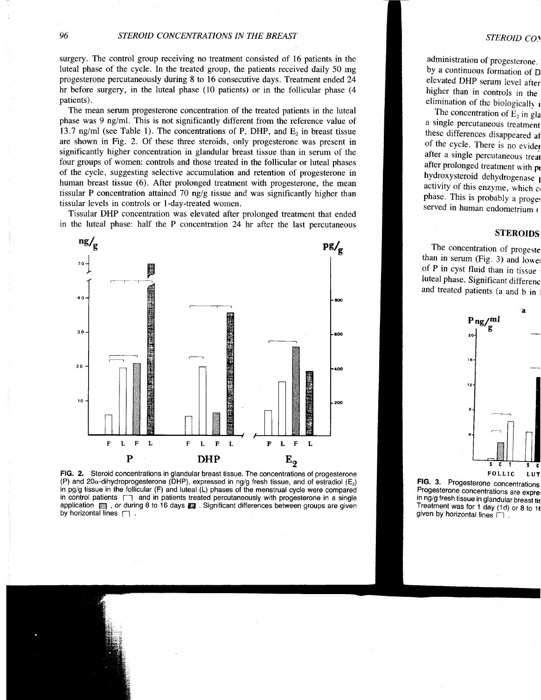surgery. The control group receiving no treatment consisted of 16 patients in the luteal phase of the cycle. In the treated group, the patients received daily 50 mg progesterone percutaneously during 8 to 16 consecutive days. Treatment ended 24 hr before surgery, in the luteal phase (10 patients) or in the follicular phase (4 patients).

The mean serum progesterone concentration of the treated patients in the luteal phase was 9 ng/ml. This is not significantly different from the reference value of 13.7 ng/ml (see Table 1). The concentrations of P, DHP, and  $E_2$  in breast tissue are shown in Fig. 2. Of these three steroids, only progesterone was present in significantly higher concentration in glandular breast tissue than in serum of the four groups of women: controls and those treated in the follicular or luteal phases of the cycle, suggesting selective accumulation and retention of progesterone in human breast tissue (6). After prolonged treatment with progesterone, the mean tissular P concentration attained  $70$  ng/g tissue and was significantly higher than tissular levels in controls or 1-day-treated women.

Tissular DHP concentration was elevated after prolonged treatment that ended in the luteal phase: half the P concentration 24 hr after the last percutaneous



FlG, 2. Steroid concentrations in glandular breast tissue. The concentrations of progesterone (P) and 20 $\alpha$ -dihydroprogesterone (DHP), expressed in ng/g fresh tissue, and of estradiol (E<sub>2</sub>) in pg/g tissue in the follicular (F) and luteal (L) phases of the menstrual cycle were compared in control patients  $\Box$  and in patients treated percutaneously with progesterone in a single application **图 , or during 8 to 16 days 图 . Significant differences between groups are given** by horizontal lines  $\Box$ .

administration of progesterone. by a continuous formation of D elevated DHP serum level atier higher than in controls in the elimination of the biologically  $\mathbf i$ 

The concentration of  $E_2$  in gla a single percutaneous treatment these differences disappeared af of the cycle. There is no evider after a single percutaneous treat after prolonged treatment with pr hydroxysteroid dehydrogenase I activity of this enzyme, which c, phase. This is probably a proget served in human endometrium  $\epsilon$ 

### STEROIDS

The concentration of progeste than in serum (Fig. 3) and lower of P in cyst fluid than in tissue luteal phase. Significant differenc and treated patients (a and b in 1



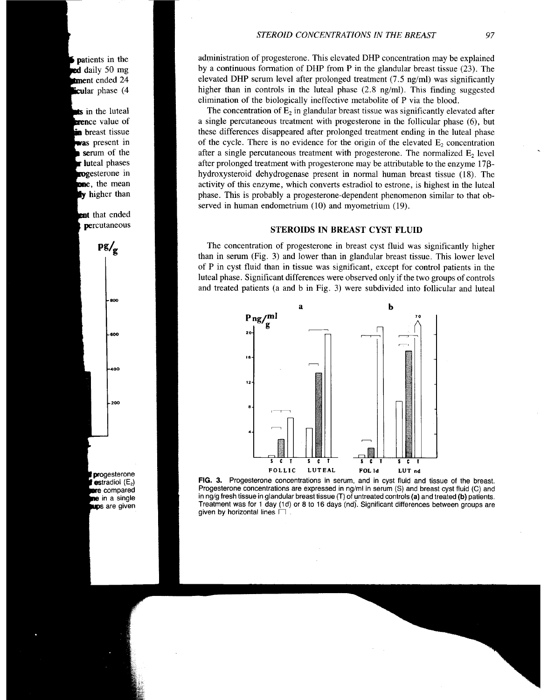patients in the **red** daily 50 mg **Ement** ended 24 cular phase (4

in the luteal **erence** value of **n** breast tissue was present in serum of the **I** luteal phases rogesterone in , the mean **y** higher than

**ent** that ended percutaneous



progesterone estradiol  $(E_2)$ re compared **ne** in a single ups are given administration of progesterone. This elevated DHP concentration may be explained by a continuous formation of DHP from P in the glandular breast tissue (23). The elevated DHP serum level after prolonged treatment (7.5 ng/ml) was significantly higher than in controls in the luteal phase (2.8 ng/ml). This finding suggested elimination of the biologically ineffective metabolite of P via the blood.

The concentration of  $E_2$  in glandular breast tissue was significantly elevated after a single percutaneous treatment with progesterone in the follicular phase (6), but these differences disappeared after prolonged treatment ending in the luteal phase of the cycle. There is no evidence for the origin of the elevated  $E_2$  concentration after a single percutaneous treatment with progesterone. The normalized  $E<sub>2</sub>$  level after prolonged treatment with progesterone may be attributable to the enzyme 17ßhydroxysteroid dehydrogenase present in normal human breast tissue (18). The activity of this enzyme, which converts estradiol to estrone, is highest in the luteal phase. This is probably a progesterone-dependent phenomenon similar to that observed in human endometrium (10) and myometrium (19).

### STEROIDS IN BREAST CYST FLUID

The concentration of progesterone in breast cyst fluid was significantly higher than in serum (Fig. 3) and lower than in glandular breast tissue. This lower level of P in cyst fluid than in tissue was significant, except for control patients in the luteal phase. Significant differences were observed only if the two groups of controls and treated patients (a and b in Fig. 3) were subdivided into follicular and luteal



FIG. 3. Progesterone concentrations in serum, and in cyst fluid and tissue of the breast. Progesterone concenlrations are expressed in ng/ml in serum (S) and breast cyst fluid (C) and in ng/g fresh tissue in glandular breast tissue (T) of untreated controls (a) and treated (b) patients. Treatment was for 1 day (1d) or 8 to 16 days (nd). Significant differences between groups are given by horizontal lines  $\Box$ .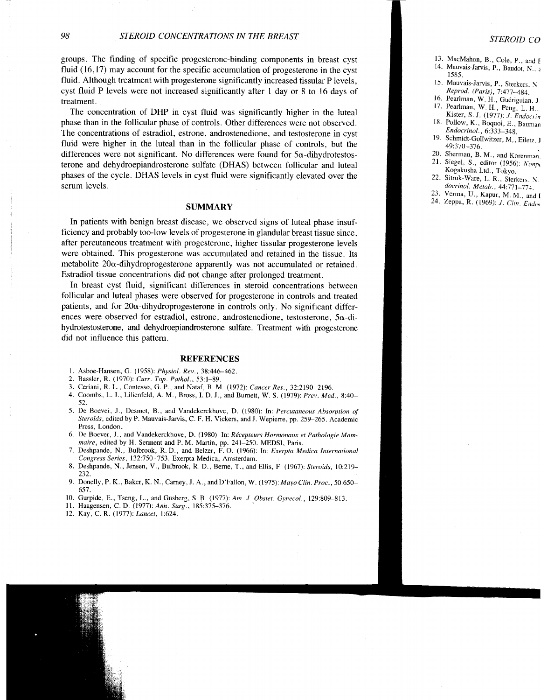groups. The finding of specific progesterone-binding components in breast cyst fluid (16,17) may account for the specific accumulation of progesterone in the cyst fluid. Although treatment with progesterone significantly increased tissular P levels, cyst fluid P levels were not increased significantly after I day or 8 to 16 days of treatment.

The concentration of DHP in cyst fluid was significantly higher in the luteal phase than in the follicular phase of controls. Other differences were not observed. The concentrations of estradiol, estrone, androstenedione, and testosterone in cyst fluid were higher in the luteal than in the follicular phase of controls, but the differences were not significant. No differences were found for 5a-dihydrotestosterone and dehydroepiandrosterone sulfate (DHAS) between follicular and luteal phases of the cycle. DHAS levels in cyst fluid were significantly elevated over the serum levels.

#### **SUMMARY**

In patients with benign breast disease, we observed signs of luteal phase insufficiency and probably too-low levels of progesterone in glandular breast tissue since, after percutaneous treatment with progesterone, higher tissular progesterone levels were obtained. This progesterone was accumulated and retained in the tissue. Its metabolite  $20\alpha$ -dihydroprogesterone apparently was not accumulated or retained. Estradiol tissue concentrations did not change after prolonged treatment.

In breast cyst fluid, significant differences in steroid concentrations between follicular and luteal phases were observed for progesterone in controls and treated patients, and for  $20\alpha$ -dihydroprogesterone in controls only. No significant differences were observed for estradiol, estrone, androstenedione, testosterone,  $5\alpha$ -dibydrotestosterone, and dehydroepiandrosterone sulfate. Treatment with progesterone did not influence this pattern.

#### REFERENCES

- l. Asboe-Hansen, G. (1958): Physiol. Rev.,38:446-462.
- 2. Bassler, R. (1970): Curr. Top. Pathol., 53:1-89.
- 3. Ceriani, R. L., Contesso, G. P., and Nataf, B. M. (1972): Cancer Res., 32:2190-2196.
- 4. Coombs, L. J., Lilienfeld, A. M., Bross, I. D. J., and Burnett, W. S. (1979): Prev. Med., 8:40-52.
- 5. De Boever, J., Desmet, B., and Vandekerckhove, D. (1980): In: Percutaneous Absorption of Steroids, edited by P. Mauvais-Jarvis, C. F. H. Vickers, and J. Wepiene, pp.259-265. Academic Press, London.
- 6. De Boever, J., and Vandekerckhove, D. (1980): In: Récepteurs Hormonaux et Pathologie Mammaire, edited by H. Serment and P. M. Martin, pp. 241-250. MEDSI, Paris.
- 7. Deshpande, N., Bulbrook, R. D., and Belzer, F. O. (1966): In: Exerpta Medica Internationa. Congress Series, 132:750-753. Exerpta Medica, Amsterdam.
- Deshpande, N., Jensen, V., Bulbrook, R. D., Berne, T., and Ellis, F. (1967): Steroids, 10:219-232. 8 .
- 9. Donelly, P. K., Baker, K. N., Carney, J. A., and D'Fallon, W. (1975): Mayo Clin. Proc., 50:650-657.
- 10. Gurpide, E., Tseng, L., and Gusberg, S. B. (1977): Am. J. Obstet. Gynecol., 129:809-813.
- 11. Haagensen, C.D. (1977): Ann. Surg., 185:375-376.
- 12. Kay, C. R. (1977): Lancet, 1:624.

#### STEROID CO

- 13. MacMahon, B., Cole, p., and I
- 14. Mauvais-Jarvis, P., Baudot, N., a 1585.
- 15. Mauvais-Jarvis, p., Sterkers. \ Reprod. (Paris), 7:477-484.
- 16. Pearlman, W. H., Guériguian. J 17. Pearlman, W. H., peng. L. H..
- Kister, S. J. (1977): J. Endocrin 18. Pollow, K., Boquoi, E., Bauman Endocrinol., 6:333-348.
- 19. Schmidt-Gollwitzer, M., Eilerz. J 49:370-376.
- 20. Sherman, B. M., and Korenman. 21. Siegel, S., editor (1956):  $Nomp$
- Kogakusha Ltd., Tokyo.
- 22. Sitruk-Ware, L. R., Sierkers. \ docrinol. Metab.,  $44:771-774$ .
- 23. Verma, U., Kapur, M. M., and I
- 24. Zeppa, R. (1969): J. Clin. Endox